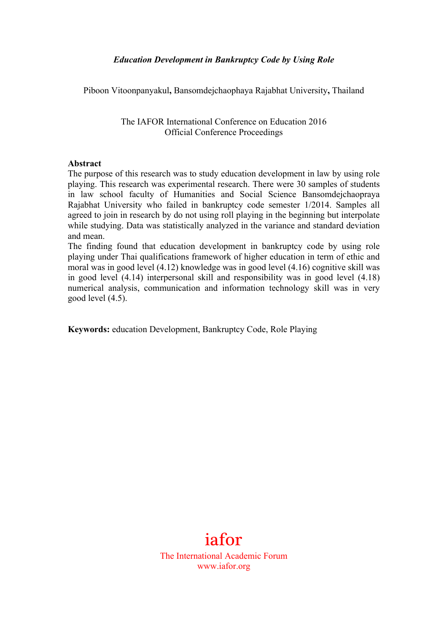#### *Education Development in Bankruptcy Code by Using Role*

Piboon Vitoonpanyakul**,** Bansomdejchaophaya Rajabhat University**,** Thailand

The IAFOR International Conference on Education 2016 Official Conference Proceedings

#### **Abstract**

The purpose of this research was to study education development in law by using role playing. This research was experimental research. There were 30 samples of students in law school faculty of Humanities and Social Science Bansomdejchaopraya Rajabhat University who failed in bankruptcy code semester 1/2014. Samples all agreed to join in research by do not using roll playing in the beginning but interpolate while studying. Data was statistically analyzed in the variance and standard deviation and mean.

The finding found that education development in bankruptcy code by using role playing under Thai qualifications framework of higher education in term of ethic and moral was in good level (4.12) knowledge was in good level (4.16) cognitive skill was in good level (4.14) interpersonal skill and responsibility was in good level (4.18) numerical analysis, communication and information technology skill was in very good level (4.5).

**Keywords:** education Development, Bankruptcy Code, Role Playing

# iafor

The International Academic Forum www.iafor.org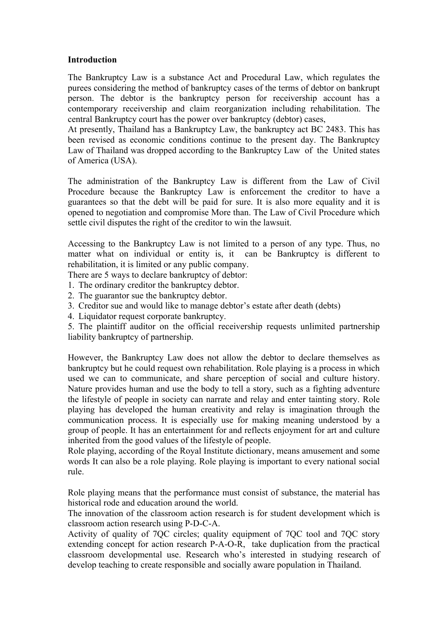#### **Introduction**

The Bankruptcy Law is a substance Act and Procedural Law, which regulates the purees considering the method of bankruptcy cases of the terms of debtor on bankrupt person. The debtor is the bankruptcy person for receivership account has a contemporary receivership and claim reorganization including rehabilitation. The central Bankruptcy court has the power over bankruptcy (debtor) cases,

At presently, Thailand has a Bankruptcy Law, the bankruptcy act BC 2483. This has been revised as economic conditions continue to the present day. The Bankruptcy Law of Thailand was dropped according to the Bankruptcy Law of the United states of America (USA).

The administration of the Bankruptcy Law is different from the Law of Civil Procedure because the Bankruptcy Law is enforcement the creditor to have a guarantees so that the debt will be paid for sure. It is also more equality and it is opened to negotiation and compromise More than. The Law of Civil Procedure which settle civil disputes the right of the creditor to win the lawsuit.

Accessing to the Bankruptcy Law is not limited to a person of any type. Thus, no matter what on individual or entity is, it can be Bankruptcy is different to rehabilitation, it is limited or any public company.

There are 5 ways to declare bankruptcy of debtor:

- 1. The ordinary creditor the bankruptcy debtor.
- 2. The guarantor sue the bankruptcy debtor.
- 3. Creditor sue and would like to manage debtor's estate after death (debts)
- 4. Liquidator request corporate bankruptcy.

5. The plaintiff auditor on the official receivership requests unlimited partnership liability bankruptcy of partnership.

However, the Bankruptcy Law does not allow the debtor to declare themselves as bankruptcy but he could request own rehabilitation. Role playing is a process in which used we can to communicate, and share perception of social and culture history. Nature provides human and use the body to tell a story, such as a fighting adventure the lifestyle of people in society can narrate and relay and enter tainting story. Role playing has developed the human creativity and relay is imagination through the communication process. It is especially use for making meaning understood by a group of people. It has an entertainment for and reflects enjoyment for art and culture inherited from the good values of the lifestyle of people.

Role playing, according of the Royal Institute dictionary, means amusement and some words It can also be a role playing. Role playing is important to every national social rule.

Role playing means that the performance must consist of substance, the material has historical rode and education around the world.

The innovation of the classroom action research is for student development which is classroom action research using P-D-C-A.

Activity of quality of 7QC circles; quality equipment of 7QC tool and 7QC story extending concept for action research P-A-O-R, take duplication from the practical classroom developmental use. Research who's interested in studying research of develop teaching to create responsible and socially aware population in Thailand.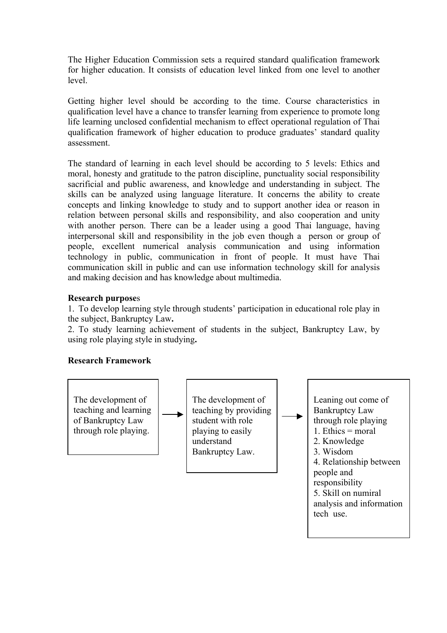The Higher Education Commission sets a required standard qualification framework for higher education. It consists of education level linked from one level to another level.

Getting higher level should be according to the time. Course characteristics in qualification level have a chance to transfer learning from experience to promote long life learning unclosed confidential mechanism to effect operational regulation of Thai qualification framework of higher education to produce graduates' standard quality assessment.

The standard of learning in each level should be according to 5 levels: Ethics and moral, honesty and gratitude to the patron discipline, punctuality social responsibility sacrificial and public awareness, and knowledge and understanding in subject. The skills can be analyzed using language literature. It concerns the ability to create concepts and linking knowledge to study and to support another idea or reason in relation between personal skills and responsibility, and also cooperation and unity with another person. There can be a leader using a good Thai language, having interpersonal skill and responsibility in the job even though a person or group of people, excellent numerical analysis communication and using information technology in public, communication in front of people. It must have Thai communication skill in public and can use information technology skill for analysis and making decision and has knowledge about multimedia.

## **Research purpose**s

1. To develop learning style through students' participation in educational role play in the subject, Bankruptcy Law**.**

2. To study learning achievement of students in the subject, Bankruptcy Law, by using role playing style in studying**.**

#### **Research Framework**

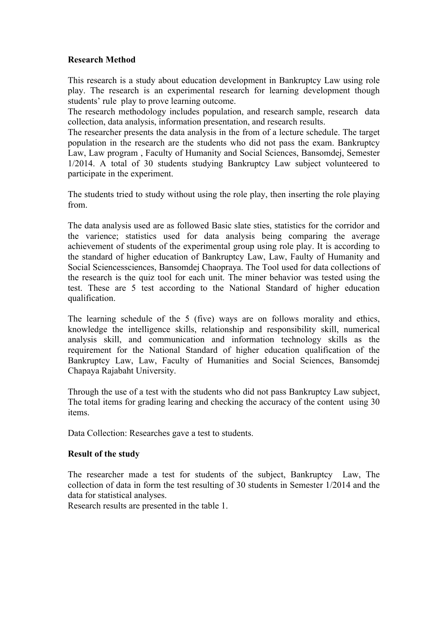## **Research Method**

This research is a study about education development in Bankruptcy Law using role play. The research is an experimental research for learning development though students' rule play to prove learning outcome.

The research methodology includes population, and research sample, research data collection, data analysis, information presentation, and research results.

The researcher presents the data analysis in the from of a lecture schedule. The target population in the research are the students who did not pass the exam. Bankruptcy Law, Law program , Faculty of Humanity and Social Sciences, Bansomdej, Semester 1/2014. A total of 30 students studying Bankruptcy Law subject volunteered to participate in the experiment.

The students tried to study without using the role play, then inserting the role playing from.

The data analysis used are as followed Basic slate sties, statistics for the corridor and the varience; statistics used for data analysis being comparing the average achievement of students of the experimental group using role play. It is according to the standard of higher education of Bankruptcy Law, Law, Faulty of Humanity and Social Sciencessciences, Bansomdej Chaopraya. The Tool used for data collections of the research is the quiz tool for each unit. The miner behavior was tested using the test. These are 5 test according to the National Standard of higher education qualification.

The learning schedule of the 5 (five) ways are on follows morality and ethics, knowledge the intelligence skills, relationship and responsibility skill, numerical analysis skill, and communication and information technology skills as the requirement for the National Standard of higher education qualification of the Bankruptcy Law, Law, Faculty of Humanities and Social Sciences, Bansomdej Chapaya Rajabaht University.

Through the use of a test with the students who did not pass Bankruptcy Law subject, The total items for grading learing and checking the accuracy of the content using 30 items.

Data Collection: Researches gave a test to students.

## **Result of the study**

The researcher made a test for students of the subject, Bankruptcy Law, The collection of data in form the test resulting of 30 students in Semester 1/2014 and the data for statistical analyses.

Research results are presented in the table 1.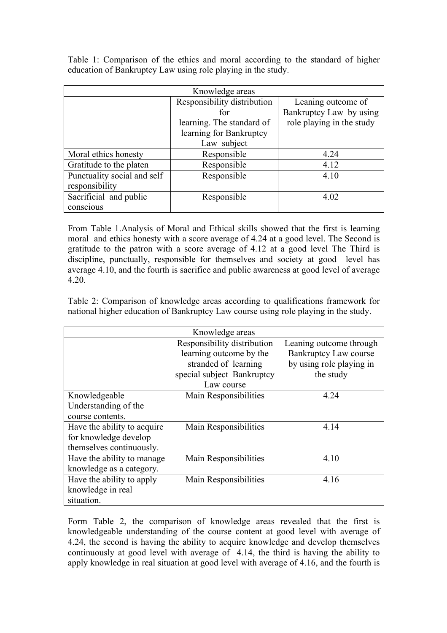Table 1: Comparison of the ethics and moral according to the standard of higher education of Bankruptcy Law using role playing in the study.

| Knowledge areas             |                             |                           |
|-----------------------------|-----------------------------|---------------------------|
|                             | Responsibility distribution | Leaning outcome of        |
|                             | for                         | Bankruptcy Law by using   |
|                             | learning. The standard of   | role playing in the study |
|                             | learning for Bankruptcy     |                           |
|                             | Law subject                 |                           |
| Moral ethics honesty        | Responsible                 | 4.24                      |
| Gratitude to the platen     | Responsible                 | 4.12                      |
| Punctuality social and self | Responsible                 | 4.10                      |
| responsibility              |                             |                           |
| Sacrificial and public      | Responsible                 | 4.02                      |
| conscious                   |                             |                           |

From Table 1.Analysis of Moral and Ethical skills showed that the first is learning moral and ethics honesty with a score average of 4.24 at a good level. The Second is gratitude to the patron with a score average of 4.12 at a good level The Third is discipline, punctually, responsible for themselves and society at good level has average 4.10, and the fourth is sacrifice and public awareness at good level of average 4.20.

Table 2: Comparison of knowledge areas according to qualifications framework for national higher education of Bankruptcy Law course using role playing in the study.

| Knowledge areas             |                             |                              |
|-----------------------------|-----------------------------|------------------------------|
|                             | Responsibility distribution | Leaning outcome through      |
|                             | learning outcome by the     | <b>Bankruptcy Law course</b> |
|                             | stranded of learning        | by using role playing in     |
|                             | special subject Bankruptcy  | the study                    |
|                             | Law course                  |                              |
| Knowledgeable               | Main Responsibilities       | 4.24                         |
| Understanding of the        |                             |                              |
| course contents.            |                             |                              |
| Have the ability to acquire | Main Responsibilities       | 4.14                         |
| for knowledge develop       |                             |                              |
| themselves continuously.    |                             |                              |
| Have the ability to manage. | Main Responsibilities       | 4.10                         |
| knowledge as a category.    |                             |                              |
| Have the ability to apply   | Main Responsibilities       | 4.16                         |
| knowledge in real           |                             |                              |
| situation.                  |                             |                              |

Form Table 2, the comparison of knowledge areas revealed that the first is knowledgeable understanding of the course content at good level with average of 4.24, the second is having the ability to acquire knowledge and develop themselves continuously at good level with average of 4.14, the third is having the ability to apply knowledge in real situation at good level with average of 4.16, and the fourth is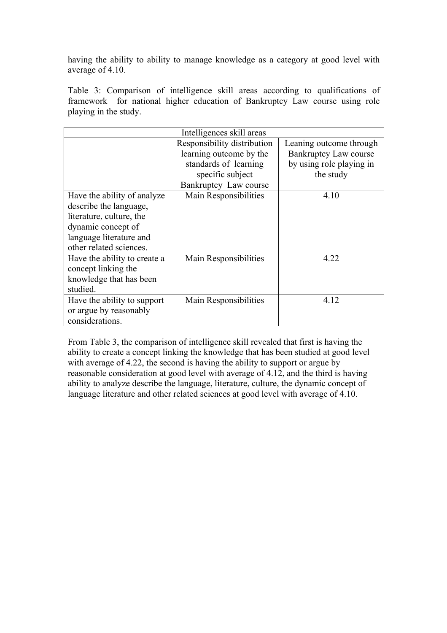having the ability to ability to manage knowledge as a category at good level with average of 4.10.

Table 3: Comparison of intelligence skill areas according to qualifications of framework for national higher education of Bankruptcy Law course using role playing in the study.

| Intelligences skill areas    |                             |                              |  |
|------------------------------|-----------------------------|------------------------------|--|
|                              | Responsibility distribution | Leaning outcome through      |  |
|                              | learning outcome by the     | <b>Bankruptcy Law course</b> |  |
|                              | standards of learning       | by using role playing in     |  |
|                              | specific subject            | the study                    |  |
|                              | Bankruptcy Law course       |                              |  |
| Have the ability of analyze  | Main Responsibilities       | 4.10                         |  |
| describe the language,       |                             |                              |  |
| literature, culture, the     |                             |                              |  |
| dynamic concept of           |                             |                              |  |
| language literature and      |                             |                              |  |
| other related sciences.      |                             |                              |  |
| Have the ability to create a | Main Responsibilities       | 4.22                         |  |
| concept linking the          |                             |                              |  |
| knowledge that has been      |                             |                              |  |
| studied.                     |                             |                              |  |
| Have the ability to support  | Main Responsibilities       | 4.12                         |  |
| or argue by reasonably       |                             |                              |  |
| considerations.              |                             |                              |  |

From Table 3, the comparison of intelligence skill revealed that first is having the ability to create a concept linking the knowledge that has been studied at good level with average of 4.22, the second is having the ability to support or argue by reasonable consideration at good level with average of 4.12, and the third is having ability to analyze describe the language, literature, culture, the dynamic concept of language literature and other related sciences at good level with average of 4.10.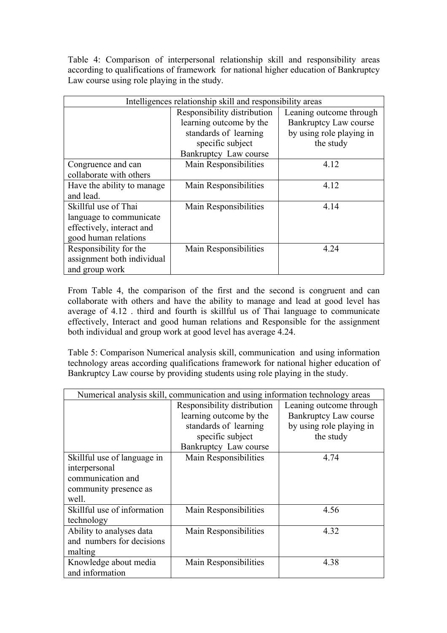Table 4: Comparison of interpersonal relationship skill and responsibility areas according to qualifications of framework for national higher education of Bankruptcy Law course using role playing in the study.

| Intelligences relationship skill and responsibility areas |                             |                              |
|-----------------------------------------------------------|-----------------------------|------------------------------|
|                                                           | Responsibility distribution | Leaning outcome through      |
|                                                           | learning outcome by the     | <b>Bankruptcy Law course</b> |
|                                                           | standards of learning       | by using role playing in     |
|                                                           | specific subject            | the study                    |
|                                                           | Bankruptcy Law course       |                              |
| Congruence and can                                        | Main Responsibilities       | 4.12                         |
| collaborate with others                                   |                             |                              |
| Have the ability to manage.                               | Main Responsibilities       | 4.12                         |
| and lead.                                                 |                             |                              |
| Skillful use of Thai                                      | Main Responsibilities       | 4.14                         |
| language to communicate                                   |                             |                              |
| effectively, interact and                                 |                             |                              |
| good human relations                                      |                             |                              |
| Responsibility for the                                    | Main Responsibilities       | 4.24                         |
| assignment both individual                                |                             |                              |
| and group work                                            |                             |                              |

From Table 4, the comparison of the first and the second is congruent and can collaborate with others and have the ability to manage and lead at good level has average of 4.12 . third and fourth is skillful us of Thai language to communicate effectively, Interact and good human relations and Responsible for the assignment both individual and group work at good level has average 4.24.

Table 5: Comparison Numerical analysis skill, communication and using information technology areas according qualifications framework for national higher education of Bankruptcy Law course by providing students using role playing in the study.

| Numerical analysis skill, communication and using information technology areas |                             |                              |
|--------------------------------------------------------------------------------|-----------------------------|------------------------------|
|                                                                                | Responsibility distribution | Leaning outcome through      |
|                                                                                | learning outcome by the     | <b>Bankruptcy Law course</b> |
|                                                                                | standards of learning       | by using role playing in     |
|                                                                                | specific subject            | the study                    |
|                                                                                | Bankruptcy Law course       |                              |
| Skillful use of language in                                                    | Main Responsibilities       | 4.74                         |
| interpersonal                                                                  |                             |                              |
| communication and                                                              |                             |                              |
| community presence as                                                          |                             |                              |
| well.                                                                          |                             |                              |
| Skillful use of information                                                    | Main Responsibilities       | 4.56                         |
| technology                                                                     |                             |                              |
| Ability to analyses data                                                       | Main Responsibilities       | 4.32                         |
| and numbers for decisions                                                      |                             |                              |
| malting                                                                        |                             |                              |
| Knowledge about media                                                          | Main Responsibilities       | 4.38                         |
| and information                                                                |                             |                              |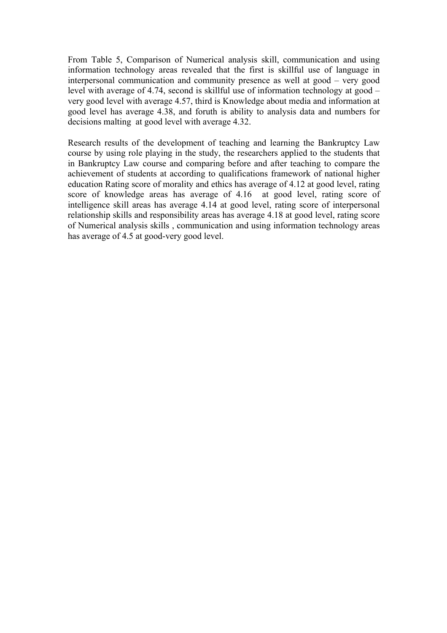From Table 5, Comparison of Numerical analysis skill, communication and using information technology areas revealed that the first is skillful use of language in interpersonal communication and community presence as well at good – very good level with average of 4.74, second is skillful use of information technology at good – very good level with average 4.57, third is Knowledge about media and information at good level has average 4.38, and foruth is ability to analysis data and numbers for decisions malting at good level with average 4.32.

Research results of the development of teaching and learning the Bankruptcy Law course by using role playing in the study, the researchers applied to the students that in Bankruptcy Law course and comparing before and after teaching to compare the achievement of students at according to qualifications framework of national higher education Rating score of morality and ethics has average of 4.12 at good level, rating score of knowledge areas has average of 4.16 at good level, rating score of intelligence skill areas has average 4.14 at good level, rating score of interpersonal relationship skills and responsibility areas has average 4.18 at good level, rating score of Numerical analysis skills , communication and using information technology areas has average of 4.5 at good-very good level.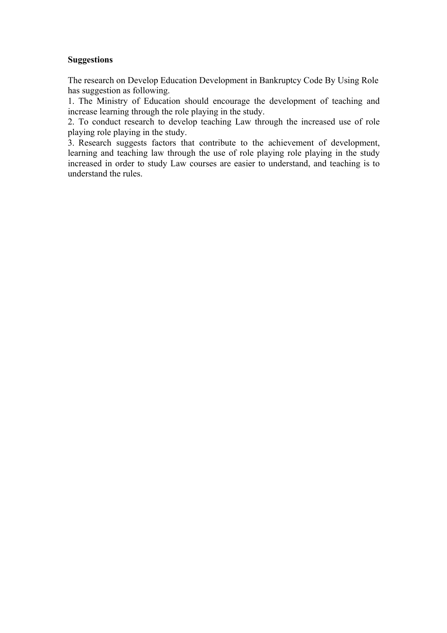## **Suggestions**

The research on Develop Education Development in Bankruptcy Code By Using Role has suggestion as following.

1. The Ministry of Education should encourage the development of teaching and increase learning through the role playing in the study.

2. To conduct research to develop teaching Law through the increased use of role playing role playing in the study.

3. Research suggests factors that contribute to the achievement of development, learning and teaching law through the use of role playing role playing in the study increased in order to study Law courses are easier to understand, and teaching is to understand the rules.